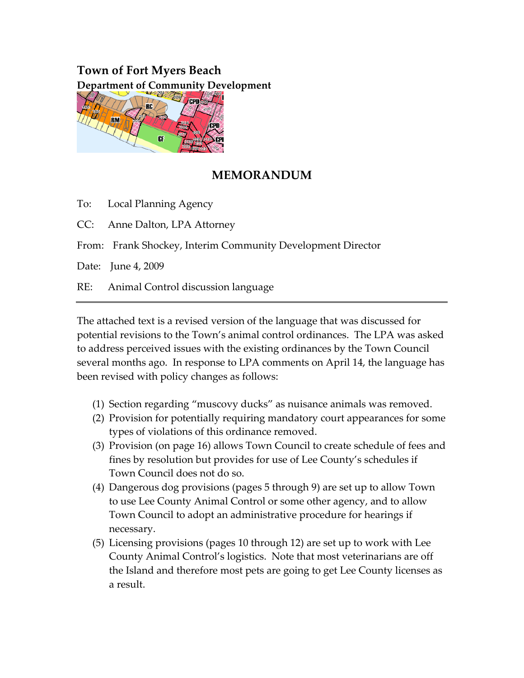# **Town of Fort Myers Beach Department of Community Development**



# **MEMORANDUM**

To: Local Planning Agency

CC: Anne Dalton, LPA Attorney

From: Frank Shockey, Interim Community Development Director

Date: June 4, 2009

RE: Animal Control discussion language

The attached text is a revised version of the language that was discussed for potential revisions to the Town's animal control ordinances. The LPA was asked to address perceived issues with the existing ordinances by the Town Council several months ago. In response to LPA comments on April 14, the language has been revised with policy changes as follows:

- (1) Section regarding "muscovy ducks" as nuisance animals was removed.
- (2) Provision for potentially requiring mandatory court appearances for some types of violations of this ordinance removed.
- (3) Provision (on page 16) allows Town Council to create schedule of fees and fines by resolution but provides for use of Lee County's schedules if Town Council does not do so.
- (4) Dangerous dog provisions (pages 5 through 9) are set up to allow Town to use Lee County Animal Control or some other agency, and to allow Town Council to adopt an administrative procedure for hearings if necessary.
- (5) Licensing provisions (pages 10 through 12) are set up to work with Lee County Animal Control's logistics. Note that most veterinarians are off the Island and therefore most pets are going to get Lee County licenses as a result.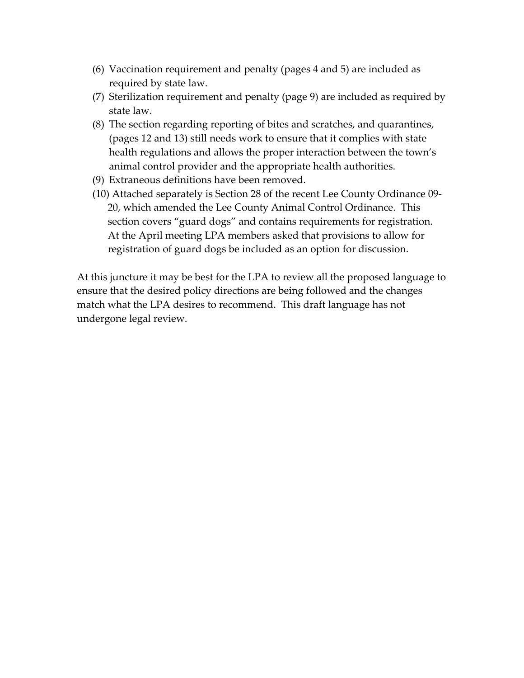- (6) Vaccination requirement and penalty (pages 4 and 5) are included as required by state law.
- (7) Sterilization requirement and penalty (page 9) are included as required by state law.
- (8) The section regarding reporting of bites and scratches, and quarantines, (pages 12 and 13) still needs work to ensure that it complies with state health regulations and allows the proper interaction between the town's animal control provider and the appropriate health authorities.
- (9) Extraneous definitions have been removed.
- (10) Attached separately is Section 28 of the recent Lee County Ordinance 09‐ 20, which amended the Lee County Animal Control Ordinance. This section covers "guard dogs" and contains requirements for registration. At the April meeting LPA members asked that provisions to allow for registration of guard dogs be included as an option for discussion.

At this juncture it may be best for the LPA to review all the proposed language to ensure that the desired policy directions are being followed and the changes match what the LPA desires to recommend. This draft language has not undergone legal review.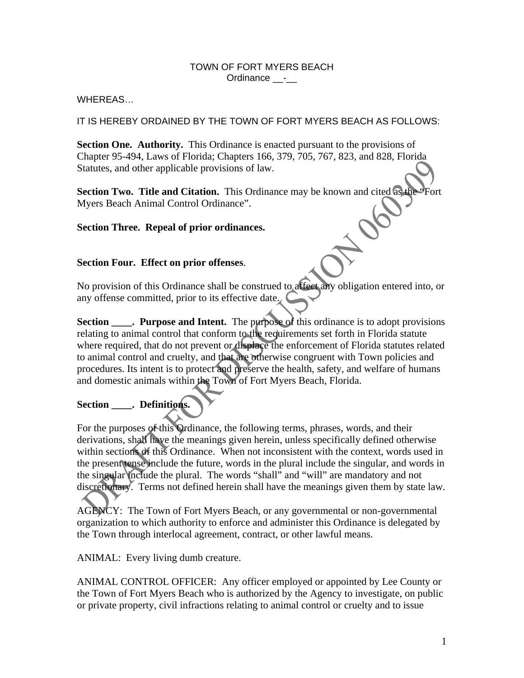#### TOWN OF FORT MYERS BEACH Ordinance \_\_-\_\_

WHEREAS…

IT IS HEREBY ORDAINED BY THE TOWN OF FORT MYERS BEACH AS FOLLOWS:

**Section One. Authority.** This Ordinance is enacted pursuant to the provisions of Chapter 95-494, Laws of Florida; Chapters 166, 379, 705, 767, 823, and 828, Florida Statutes, and other applicable provisions of law.

**Section Two. Title and Citation.** This Ordinance may be known and cited as the "Fort Myers Beach Animal Control Ordinance".

#### **Section Three. Repeal of prior ordinances.**

#### **Section Four. Effect on prior offenses**.

No provision of this Ordinance shall be construed to affect any obligation entered into, or any offense committed, prior to its effective date.

**Section . Purpose and Intent.** The purpose of this ordinance is to adopt provisions relating to animal control that conform to the requirements set forth in Florida statute where required, that do not prevent or displace the enforcement of Florida statutes related to animal control and cruelty, and that are otherwise congruent with Town policies and procedures. Its intent is to protect and preserve the health, safety, and welfare of humans and domestic animals within the Town of Fort Myers Beach, Florida.

## Section . Definitions.

For the purposes of this Ordinance, the following terms, phrases, words, and their derivations, shall have the meanings given herein, unless specifically defined otherwise within sections of this Ordinance. When not inconsistent with the context, words used in the present tense include the future, words in the plural include the singular, and words in the singular include the plural. The words "shall" and "will" are mandatory and not discretionary. Terms not defined herein shall have the meanings given them by state law.

AGENCY: The Town of Fort Myers Beach, or any governmental or non-governmental organization to which authority to enforce and administer this Ordinance is delegated by the Town through interlocal agreement, contract, or other lawful means.

ANIMAL: Every living dumb creature.

ANIMAL CONTROL OFFICER: Any officer employed or appointed by Lee County or the Town of Fort Myers Beach who is authorized by the Agency to investigate, on public or private property, civil infractions relating to animal control or cruelty and to issue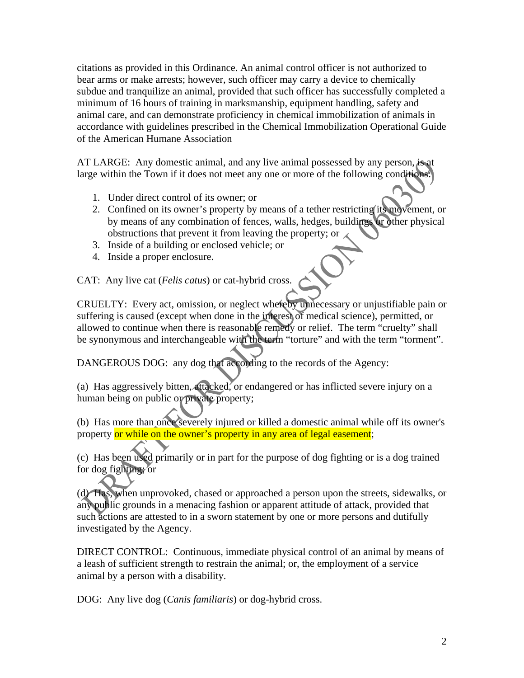citations as provided in this Ordinance. An animal control officer is not authorized to bear arms or make arrests; however, such officer may carry a device to chemically subdue and tranquilize an animal, provided that such officer has successfully completed a minimum of 16 hours of training in marksmanship, equipment handling, safety and animal care, and can demonstrate proficiency in chemical immobilization of animals in accordance with guidelines prescribed in the Chemical Immobilization Operational Guide of the American Humane Association

AT LARGE: Any domestic animal, and any live animal possessed by any person, is at large within the Town if it does not meet any one or more of the following conditions:

- 1. Under direct control of its owner; or
- 2. Confined on its owner's property by means of a tether restricting its movement, or by means of any combination of fences, walls, hedges, buildings or other physical obstructions that prevent it from leaving the property; or
- 3. Inside of a building or enclosed vehicle; or
- 4. Inside a proper enclosure.

CAT: Any live cat (*Felis catus*) or cat-hybrid cross.

CRUELTY: Every act, omission, or neglect whereby unnecessary or unjustifiable pain or suffering is caused (except when done in the interest of medical science), permitted, or allowed to continue when there is reasonable remedy or relief. The term "cruelty" shall be synonymous and interchangeable with the term "torture" and with the term "torment".

DANGEROUS DOG: any dog that according to the records of the Agency:

(a) Has aggressively bitten, attacked, or endangered or has inflicted severe injury on a human being on public or private property;

(b) Has more than once severely injured or killed a domestic animal while off its owner's property or while on the owner's property in any area of legal easement;

(c) Has been used primarily or in part for the purpose of dog fighting or is a dog trained for dog fighting; or

(d) Has, when unprovoked, chased or approached a person upon the streets, sidewalks, or any public grounds in a menacing fashion or apparent attitude of attack, provided that such actions are attested to in a sworn statement by one or more persons and dutifully investigated by the Agency.

DIRECT CONTROL: Continuous, immediate physical control of an animal by means of a leash of sufficient strength to restrain the animal; or, the employment of a service animal by a person with a disability.

DOG: Any live dog (*Canis familiaris*) or dog-hybrid cross.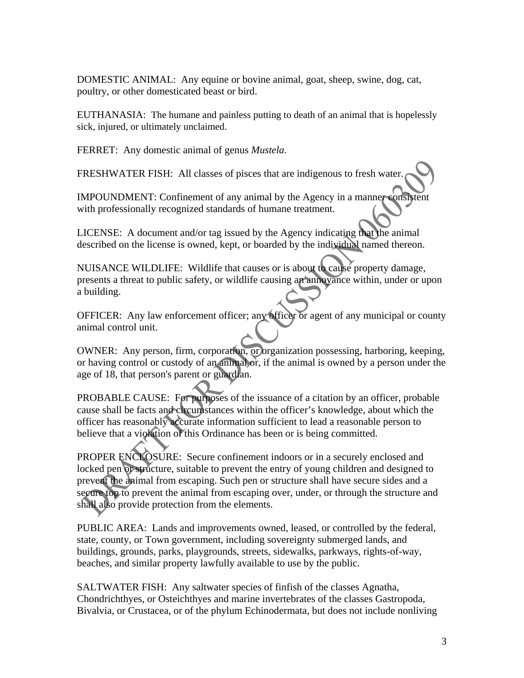DOMESTIC ANIMAL: Any equine or bovine animal, goat, sheep, swine, dog, cat, poultry, or other domesticated beast or bird.

EUTHANASIA: The humane and painless putting to death of an animal that is hopelessly sick, injured, or ultimately unclaimed.

FERRET: Any domestic animal of genus *Mustela*.

FRESHWATER FISH: All classes of pisces that are indigenous to fresh water.

IMPOUNDMENT: Confinement of any animal by the Agency in a manner consistent with professionally recognized standards of humane treatment.

LICENSE: A document and/or tag issued by the Agency indicating that the animal described on the license is owned, kept, or boarded by the individual named thereon.

NUISANCE WILDLIFE: Wildlife that causes or is about to cause property damage, presents a threat to public safety, or wildlife causing an annoyance within, under or upon a building.

OFFICER: Any law enforcement officer; any officer or agent of any municipal or county animal control unit.

OWNER: Any person, firm, corporation, or organization possessing, harboring, keeping, or having control or custody of an animal or, if the animal is owned by a person under the age of 18, that person's parent or guardian.

PROBABLE CAUSE: For purposes of the issuance of a citation by an officer, probable cause shall be facts and circumstances within the officer's knowledge, about which the officer has reasonably accurate information sufficient to lead a reasonable person to believe that a violation of this Ordinance has been or is being committed.

PROPER ENCLOSURE: Secure confinement indoors or in a securely enclosed and locked pen or structure, suitable to prevent the entry of young children and designed to prevent the animal from escaping. Such pen or structure shall have secure sides and a secure top to prevent the animal from escaping over, under, or through the structure and shall also provide protection from the elements.

PUBLIC AREA: Lands and improvements owned, leased, or controlled by the federal, state, county, or Town government, including sovereignty submerged lands, and buildings, grounds, parks, playgrounds, streets, sidewalks, parkways, rights-of-way, beaches, and similar property lawfully available to use by the public.

SALTWATER FISH: Any saltwater species of finfish of the classes Agnatha, Chondrichthyes, or Osteichthyes and marine invertebrates of the classes Gastropoda, Bivalvia, or Crustacea, or of the phylum Echinodermata, but does not include nonliving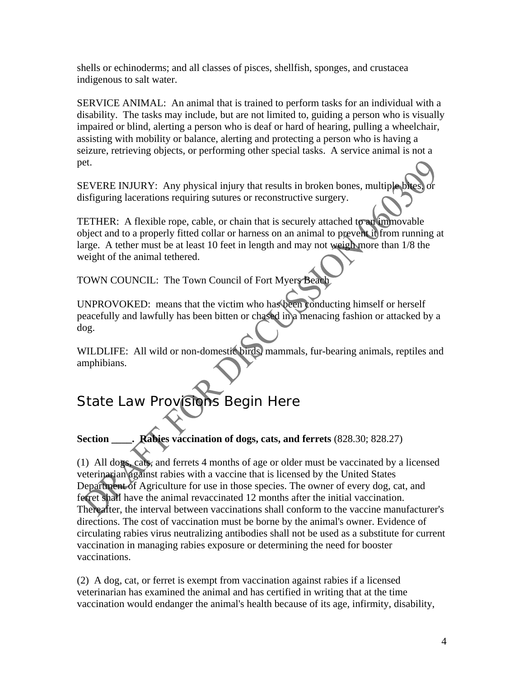shells or echinoderms; and all classes of pisces, shellfish, sponges, and crustacea indigenous to salt water.

SERVICE ANIMAL: An animal that is trained to perform tasks for an individual with a disability. The tasks may include, but are not limited to, guiding a person who is visually impaired or blind, alerting a person who is deaf or hard of hearing, pulling a wheelchair, assisting with mobility or balance, alerting and protecting a person who is having a seizure, retrieving objects, or performing other special tasks. A service animal is not a pet.

SEVERE INJURY: Any physical injury that results in broken bones, multiple bites disfiguring lacerations requiring sutures or reconstructive surgery.

TETHER: A flexible rope, cable, or chain that is securely attached to an immovable object and to a properly fitted collar or harness on an animal to prevent it from running at large. A tether must be at least 10 feet in length and may not weigh more than 1/8 the weight of the animal tethered.

TOWN COUNCIL: The Town Council of Fort Myers Beach

UNPROVOKED: means that the victim who has been conducting himself or herself peacefully and lawfully has been bitten or chased in a menacing fashion or attacked by a dog.

WILDLIFE: All wild or non-domestic birds, mammals, fur-bearing animals, reptiles and amphibians.

# State Law Provisions Begin Here

**Section \_\_\_\_. Rabies vaccination of dogs, cats, and ferrets** (828.30; 828.27)

(1) All dogs, cats, and ferrets 4 months of age or older must be vaccinated by a licensed veterinarian against rabies with a vaccine that is licensed by the United States Department of Agriculture for use in those species. The owner of every dog, cat, and ferret shall have the animal revaccinated 12 months after the initial vaccination. Thereafter, the interval between vaccinations shall conform to the vaccine manufacturer's directions. The cost of vaccination must be borne by the animal's owner. Evidence of circulating rabies virus neutralizing antibodies shall not be used as a substitute for current vaccination in managing rabies exposure or determining the need for booster vaccinations.

(2) A dog, cat, or ferret is exempt from vaccination against rabies if a licensed veterinarian has examined the animal and has certified in writing that at the time vaccination would endanger the animal's health because of its age, infirmity, disability,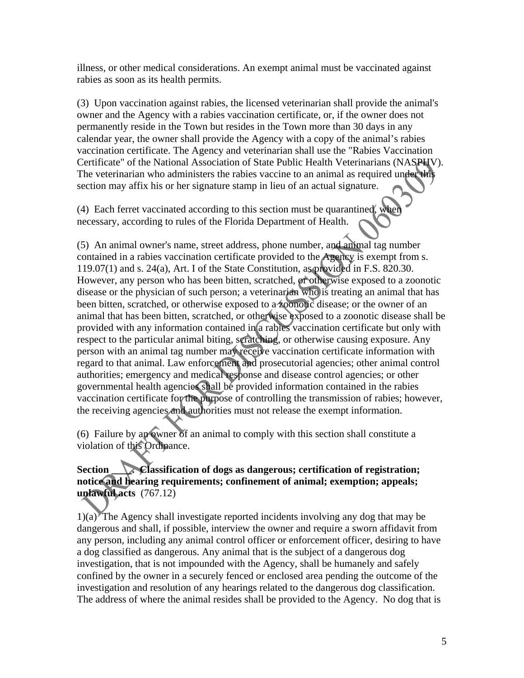illness, or other medical considerations. An exempt animal must be vaccinated against rabies as soon as its health permits.

(3) Upon vaccination against rabies, the licensed veterinarian shall provide the animal's owner and the Agency with a rabies vaccination certificate, or, if the owner does not permanently reside in the Town but resides in the Town more than 30 days in any calendar year, the owner shall provide the Agency with a copy of the animal's rabies vaccination certificate. The Agency and veterinarian shall use the "Rabies Vaccination Certificate" of the National Association of State Public Health Veterinarians (NASPHV). The veterinarian who administers the rabies vaccine to an animal as required under this section may affix his or her signature stamp in lieu of an actual signature.

(4) Each ferret vaccinated according to this section must be quarantined, when necessary, according to rules of the Florida Department of Health.

(5) An animal owner's name, street address, phone number, and animal tag number contained in a rabies vaccination certificate provided to the Agency is exempt from s. 119.07(1) and s. 24(a), Art. I of the State Constitution, as provided in F.S. 820.30. However, any person who has been bitten, scratched, or otherwise exposed to a zoonotic disease or the physician of such person; a veterinarian who is treating an animal that has been bitten, scratched, or otherwise exposed to a zoonotic disease; or the owner of an animal that has been bitten, scratched, or otherwise exposed to a zoonotic disease shall be provided with any information contained in a rabies vaccination certificate but only with respect to the particular animal biting, scratching, or otherwise causing exposure. Any person with an animal tag number may receive vaccination certificate information with regard to that animal. Law enforcement and prosecutorial agencies; other animal control authorities; emergency and medical response and disease control agencies; or other governmental health agencies shall be provided information contained in the rabies vaccination certificate for the purpose of controlling the transmission of rabies; however, the receiving agencies and authorities must not release the exempt information.

(6) Failure by an owner of an animal to comply with this section shall constitute a violation of this Ordinance.

## Section **Classification of dogs as dangerous; certification of registration; notice and hearing requirements; confinement of animal; exemption; appeals; unlawful acts** (767.12)

 $1)(a)$  The Agency shall investigate reported incidents involving any dog that may be dangerous and shall, if possible, interview the owner and require a sworn affidavit from any person, including any animal control officer or enforcement officer, desiring to have a dog classified as dangerous. Any animal that is the subject of a dangerous dog investigation, that is not impounded with the Agency, shall be humanely and safely confined by the owner in a securely fenced or enclosed area pending the outcome of the investigation and resolution of any hearings related to the dangerous dog classification. The address of where the animal resides shall be provided to the Agency. No dog that is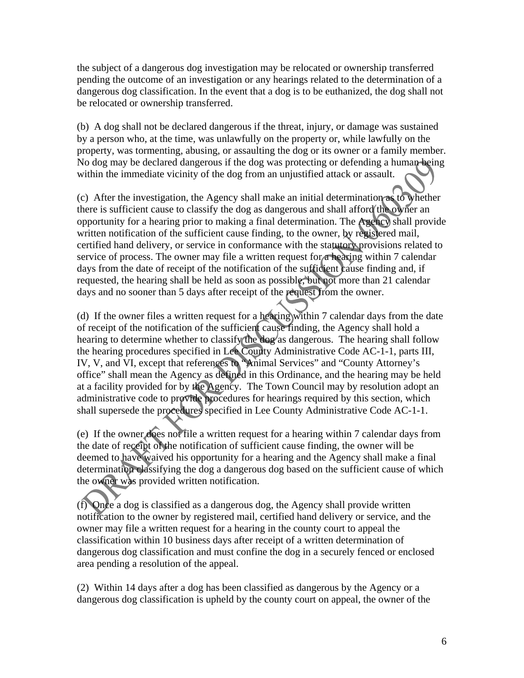the subject of a dangerous dog investigation may be relocated or ownership transferred pending the outcome of an investigation or any hearings related to the determination of a dangerous dog classification. In the event that a dog is to be euthanized, the dog shall not be relocated or ownership transferred.

(b) A dog shall not be declared dangerous if the threat, injury, or damage was sustained by a person who, at the time, was unlawfully on the property or, while lawfully on the property, was tormenting, abusing, or assaulting the dog or its owner or a family member. No dog may be declared dangerous if the dog was protecting or defending a human being within the immediate vicinity of the dog from an unjustified attack or assault.

(c) After the investigation, the Agency shall make an initial determination as to whether there is sufficient cause to classify the dog as dangerous and shall afford the owner an opportunity for a hearing prior to making a final determination. The Agency shall provide written notification of the sufficient cause finding, to the owner, by registered mail, certified hand delivery, or service in conformance with the statutory provisions related to service of process. The owner may file a written request for a hearing within 7 calendar days from the date of receipt of the notification of the sufficient cause finding and, if requested, the hearing shall be held as soon as possible, but not more than 21 calendar days and no sooner than 5 days after receipt of the request from the owner.

(d) If the owner files a written request for a hearing within 7 calendar days from the date of receipt of the notification of the sufficient cause finding, the Agency shall hold a hearing to determine whether to classify the dog as dangerous. The hearing shall follow the hearing procedures specified in Lee County Administrative Code AC-1-1, parts III, IV, V, and VI, except that references to "Animal Services" and "County Attorney's office" shall mean the Agency as defined in this Ordinance, and the hearing may be held at a facility provided for by the Agency. The Town Council may by resolution adopt an administrative code to provide procedures for hearings required by this section, which shall supersede the procedures specified in Lee County Administrative Code AC-1-1.

(e) If the owner does not file a written request for a hearing within 7 calendar days from the date of receipt of the notification of sufficient cause finding, the owner will be deemed to have waived his opportunity for a hearing and the Agency shall make a final determination classifying the dog a dangerous dog based on the sufficient cause of which the owner was provided written notification.

(f) Once a dog is classified as a dangerous dog, the Agency shall provide written notification to the owner by registered mail, certified hand delivery or service, and the owner may file a written request for a hearing in the county court to appeal the classification within 10 business days after receipt of a written determination of dangerous dog classification and must confine the dog in a securely fenced or enclosed area pending a resolution of the appeal.

(2) Within 14 days after a dog has been classified as dangerous by the Agency or a dangerous dog classification is upheld by the county court on appeal, the owner of the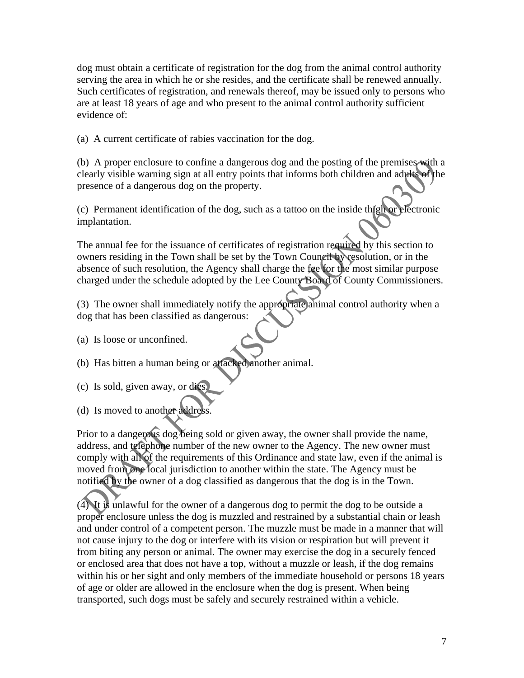dog must obtain a certificate of registration for the dog from the animal control authority serving the area in which he or she resides, and the certificate shall be renewed annually. Such certificates of registration, and renewals thereof, may be issued only to persons who are at least 18 years of age and who present to the animal control authority sufficient evidence of:

(a) A current certificate of rabies vaccination for the dog.

(b) A proper enclosure to confine a dangerous dog and the posting of the premises with a clearly visible warning sign at all entry points that informs both children and adults of the presence of a dangerous dog on the property.

(c) Permanent identification of the dog, such as a tattoo on the inside thigh or electronic implantation.

The annual fee for the issuance of certificates of registration required by this section to owners residing in the Town shall be set by the Town Council by resolution, or in the absence of such resolution, the Agency shall charge the fee for the most similar purpose charged under the schedule adopted by the Lee County Board of County Commissioners.

(3) The owner shall immediately notify the appropriate animal control authority when a dog that has been classified as dangerous:

- (a) Is loose or unconfined.
- (b) Has bitten a human being or attacked another animal.
- (c) Is sold, given away, or dies.
- (d) Is moved to another address.

Prior to a dangerous dog being sold or given away, the owner shall provide the name, address, and telephone number of the new owner to the Agency. The new owner must comply with all of the requirements of this Ordinance and state law, even if the animal is moved from one local jurisdiction to another within the state. The Agency must be notified by the owner of a dog classified as dangerous that the dog is in the Town.

(4) It is unlawful for the owner of a dangerous dog to permit the dog to be outside a proper enclosure unless the dog is muzzled and restrained by a substantial chain or leash and under control of a competent person. The muzzle must be made in a manner that will not cause injury to the dog or interfere with its vision or respiration but will prevent it from biting any person or animal. The owner may exercise the dog in a securely fenced or enclosed area that does not have a top, without a muzzle or leash, if the dog remains within his or her sight and only members of the immediate household or persons 18 years of age or older are allowed in the enclosure when the dog is present. When being transported, such dogs must be safely and securely restrained within a vehicle.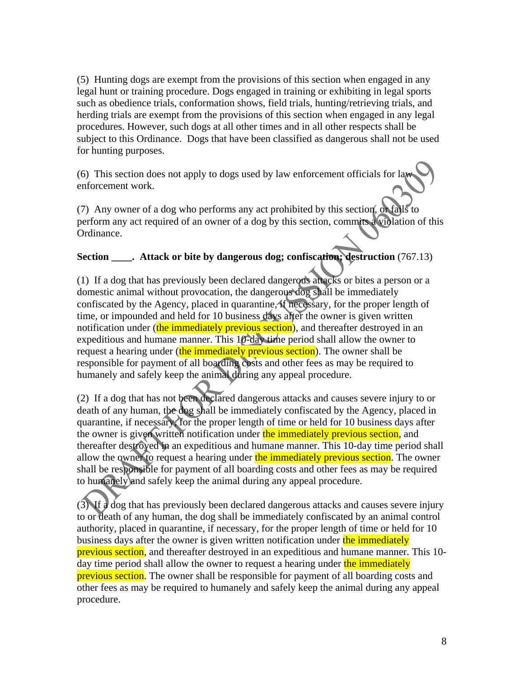(5) Hunting dogs are exempt from the provisions of this section when engaged in any legal hunt or training procedure. Dogs engaged in training or exhibiting in legal sports such as obedience trials, conformation shows, field trials, hunting/retrieving trials, and herding trials are exempt from the provisions of this section when engaged in any legal procedures. However, such dogs at all other times and in all other respects shall be subject to this Ordinance. Dogs that have been classified as dangerous shall not be used for hunting purposes.

(6) This section does not apply to dogs used by law enforcement officials for law enforcement work.

(7) Any owner of a dog who performs any act prohibited by this section, or fails to perform any act required of an owner of a dog by this section, commits a violation of this Ordinance.

#### **Section Attack or bite by dangerous dog; confiscation; destruction**  $(767.13)$

(1) If a dog that has previously been declared dangerous attacks or bites a person or a domestic animal without provocation, the dangerous dog shall be immediately confiscated by the Agency, placed in quarantine, if necessary, for the proper length of time, or impounded and held for 10 business days after the owner is given written notification under (the immediately previous section), and thereafter destroyed in an expeditious and humane manner. This 10-day time period shall allow the owner to request a hearing under (the immediately previous section). The owner shall be responsible for payment of all boarding costs and other fees as may be required to humanely and safely keep the animal during any appeal procedure.

(2) If a dog that has not been declared dangerous attacks and causes severe injury to or death of any human, the dog shall be immediately confiscated by the Agency, placed in quarantine, if necessary, for the proper length of time or held for 10 business days after the owner is given written notification under the immediately previous section, and thereafter destroyed in an expeditious and humane manner. This 10-day time period shall allow the owner to request a hearing under the immediately previous section. The owner shall be responsible for payment of all boarding costs and other fees as may be required to humanely and safely keep the animal during any appeal procedure.

(3) If a dog that has previously been declared dangerous attacks and causes severe injury to or death of any human, the dog shall be immediately confiscated by an animal control authority, placed in quarantine, if necessary, for the proper length of time or held for 10 business days after the owner is given written notification under the immediately previous section, and thereafter destroyed in an expeditious and humane manner. This 10 day time period shall allow the owner to request a hearing under the immediately previous section. The owner shall be responsible for payment of all boarding costs and other fees as may be required to humanely and safely keep the animal during any appeal procedure.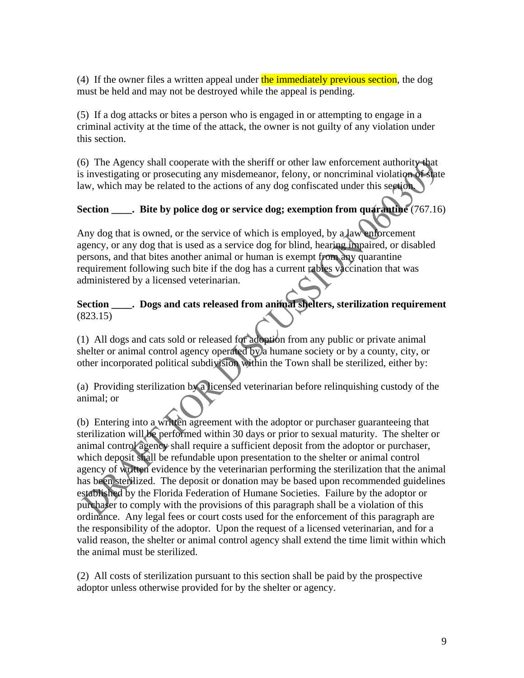(4) If the owner files a written appeal under the immediately previous section, the dog must be held and may not be destroyed while the appeal is pending.

(5) If a dog attacks or bites a person who is engaged in or attempting to engage in a criminal activity at the time of the attack, the owner is not guilty of any violation under this section.

(6) The Agency shall cooperate with the sheriff or other law enforcement authority that is investigating or prosecuting any misdemeanor, felony, or noncriminal violation of state law, which may be related to the actions of any dog confiscated under this section.

# **Section \_\_\_\_. Bite by police dog or service dog; exemption from quarantine** (767.16)

Any dog that is owned, or the service of which is employed, by a law enforcement agency, or any dog that is used as a service dog for blind, hearing impaired, or disabled persons, and that bites another animal or human is exempt from any quarantine requirement following such bite if the dog has a current rabies vaccination that was administered by a licensed veterinarian.

### **Section \_\_\_\_. Dogs and cats released from animal shelters, sterilization requirement** (823.15)

(1) All dogs and cats sold or released for adoption from any public or private animal shelter or animal control agency operated by a humane society or by a county, city, or other incorporated political subdivision within the Town shall be sterilized, either by:

(a) Providing sterilization by a licensed veterinarian before relinquishing custody of the animal; or

(b) Entering into a written agreement with the adoptor or purchaser guaranteeing that sterilization will be performed within 30 days or prior to sexual maturity. The shelter or animal control agency shall require a sufficient deposit from the adoptor or purchaser, which deposit shall be refundable upon presentation to the shelter or animal control agency of written evidence by the veterinarian performing the sterilization that the animal has been sterilized. The deposit or donation may be based upon recommended guidelines established by the Florida Federation of Humane Societies. Failure by the adoptor or purchaser to comply with the provisions of this paragraph shall be a violation of this ordinance. Any legal fees or court costs used for the enforcement of this paragraph are the responsibility of the adoptor. Upon the request of a licensed veterinarian, and for a valid reason, the shelter or animal control agency shall extend the time limit within which the animal must be sterilized.

(2) All costs of sterilization pursuant to this section shall be paid by the prospective adoptor unless otherwise provided for by the shelter or agency.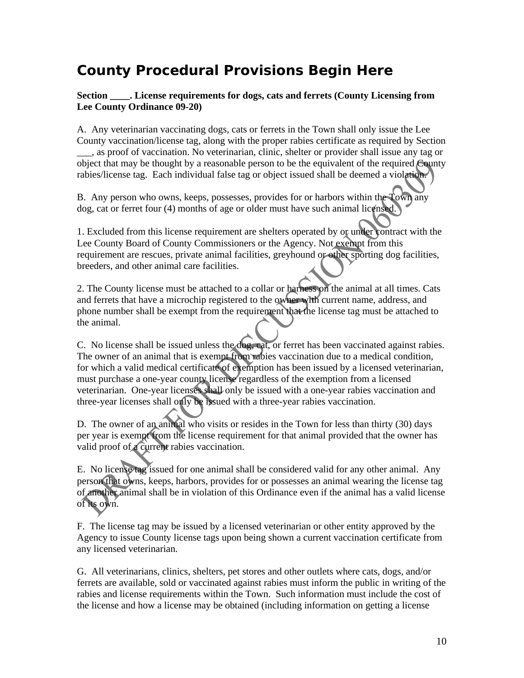# **County Procedural Provisions Begin Here**

**Section \_\_\_\_. License requirements for dogs, cats and ferrets (County Licensing from Lee County Ordinance 09-20)** 

A. Any veterinarian vaccinating dogs, cats or ferrets in the Town shall only issue the Lee County vaccination/license tag, along with the proper rabies certificate as required by Section \_\_\_, as proof of vaccination. No veterinarian, clinic, shelter or provider shall issue any tag or object that may be thought by a reasonable person to be the equivalent of the required County rabies/license tag. Each individual false tag or object issued shall be deemed a violation.

B. Any person who owns, keeps, possesses, provides for or harbors within the Town any dog, cat or ferret four (4) months of age or older must have such animal licensed.

1. Excluded from this license requirement are shelters operated by or under contract with the Lee County Board of County Commissioners or the Agency. Not exempt from this requirement are rescues, private animal facilities, greyhound or other sporting dog facilities, breeders, and other animal care facilities.

2. The County license must be attached to a collar or harness on the animal at all times. Cats and ferrets that have a microchip registered to the owner with current name, address, and phone number shall be exempt from the requirement that the license tag must be attached to the animal.

C. No license shall be issued unless the dog, cat, or ferret has been vaccinated against rabies. The owner of an animal that is exempt from rabies vaccination due to a medical condition, for which a valid medical certificate of exemption has been issued by a licensed veterinarian, must purchase a one-year county license regardless of the exemption from a licensed veterinarian. One-year licenses shall only be issued with a one-year rabies vaccination and three-year licenses shall only be issued with a three-year rabies vaccination.

D. The owner of an animal who visits or resides in the Town for less than thirty (30) days per year is exempt from the license requirement for that animal provided that the owner has valid proof of a current rabies vaccination.

E. No license tag issued for one animal shall be considered valid for any other animal. Any person that owns, keeps, harbors, provides for or possesses an animal wearing the license tag of another animal shall be in violation of this Ordinance even if the animal has a valid license of its own.

F. The license tag may be issued by a licensed veterinarian or other entity approved by the Agency to issue County license tags upon being shown a current vaccination certificate from any licensed veterinarian.

G. All veterinarians, clinics, shelters, pet stores and other outlets where cats, dogs, and/or ferrets are available, sold or vaccinated against rabies must inform the public in writing of the rabies and license requirements within the Town. Such information must include the cost of the license and how a license may be obtained (including information on getting a license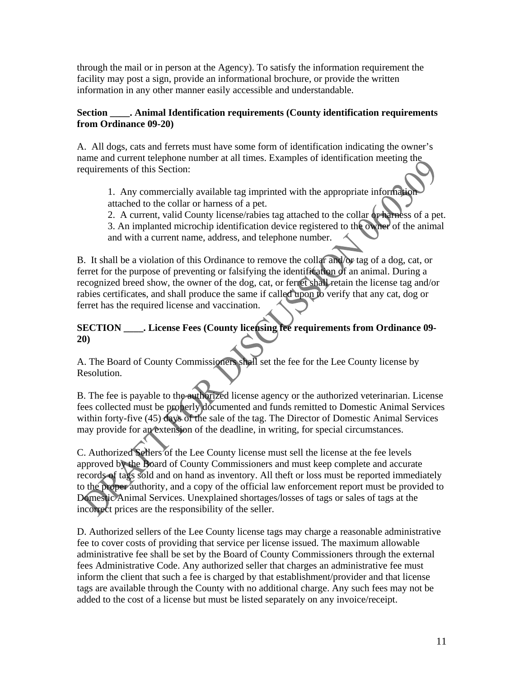through the mail or in person at the Agency). To satisfy the information requirement the facility may post a sign, provide an informational brochure, or provide the written information in any other manner easily accessible and understandable.

#### **Section \_\_\_\_. Animal Identification requirements (County identification requirements from Ordinance 09-20)**

A. All dogs, cats and ferrets must have some form of identification indicating the owner's name and current telephone number at all times. Examples of identification meeting the requirements of this Section:

1. Any commercially available tag imprinted with the appropriate information attached to the collar or harness of a pet.

2. A current, valid County license/rabies tag attached to the collar or harness of a pet. 3. An implanted microchip identification device registered to the owner of the animal and with a current name, address, and telephone number.

B. It shall be a violation of this Ordinance to remove the collar and/or tag of a dog, cat, or ferret for the purpose of preventing or falsifying the identification of an animal. During a recognized breed show, the owner of the dog, cat, or ferret shall retain the license tag and/or rabies certificates, and shall produce the same if called upon to verify that any cat, dog or ferret has the required license and vaccination.

### **SECTION \_\_\_\_. License Fees (County licensing fee requirements from Ordinance 09- 20)**

A. The Board of County Commissioners shall set the fee for the Lee County license by Resolution.

B. The fee is payable to the authorized license agency or the authorized veterinarian. License fees collected must be properly documented and funds remitted to Domestic Animal Services within forty-five (45) days of the sale of the tag. The Director of Domestic Animal Services may provide for an extension of the deadline, in writing, for special circumstances.

C. Authorized Sellers of the Lee County license must sell the license at the fee levels approved by the Board of County Commissioners and must keep complete and accurate records of tags sold and on hand as inventory. All theft or loss must be reported immediately to the proper authority, and a copy of the official law enforcement report must be provided to Domestic Animal Services. Unexplained shortages/losses of tags or sales of tags at the incorrect prices are the responsibility of the seller.

D. Authorized sellers of the Lee County license tags may charge a reasonable administrative fee to cover costs of providing that service per license issued. The maximum allowable administrative fee shall be set by the Board of County Commissioners through the external fees Administrative Code. Any authorized seller that charges an administrative fee must inform the client that such a fee is charged by that establishment/provider and that license tags are available through the County with no additional charge. Any such fees may not be added to the cost of a license but must be listed separately on any invoice/receipt.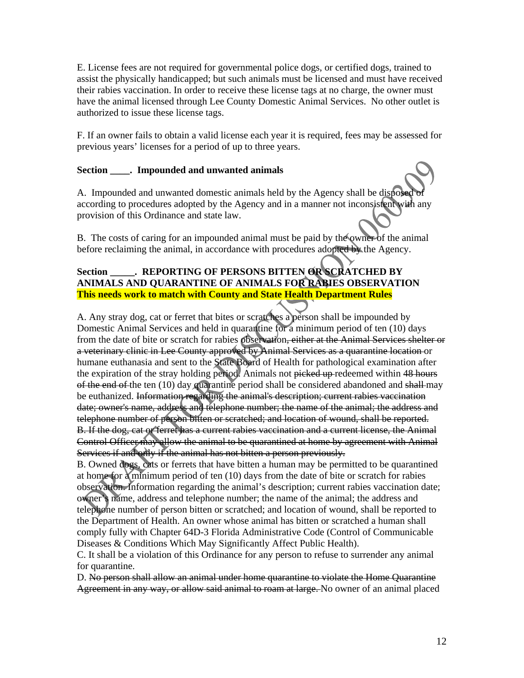E. License fees are not required for governmental police dogs, or certified dogs, trained to assist the physically handicapped; but such animals must be licensed and must have received their rabies vaccination. In order to receive these license tags at no charge, the owner must have the animal licensed through Lee County Domestic Animal Services. No other outlet is authorized to issue these license tags.

F. If an owner fails to obtain a valid license each year it is required, fees may be assessed for previous years' licenses for a period of up to three years.

#### **Section \_\_\_\_. Impounded and unwanted animals**

A. Impounded and unwanted domestic animals held by the Agency shall be disposed according to procedures adopted by the Agency and in a manner not inconsistent with any provision of this Ordinance and state law.

B. The costs of caring for an impounded animal must be paid by the owner of the animal before reclaiming the animal, in accordance with procedures adopted by the Agency.

#### **Section \_\_\_\_\_. REPORTING OF PERSONS BITTEN OR SCRATCHED BY ANIMALS AND QUARANTINE OF ANIMALS FOR RABIES OBSERVATION This needs work to match with County and State Health Department Rules**

A. Any stray dog, cat or ferret that bites or scratches a person shall be impounded by Domestic Animal Services and held in quarantine for a minimum period of ten (10) days from the date of bite or scratch for rabies observation, either at the Animal Services shelter or a veterinary clinic in Lee County approved by Animal Services as a quarantine location or humane euthanasia and sent to the State Board of Health for pathological examination after the expiration of the stray holding period. Animals not picked up-redeemed within 48 hours of the end of the ten (10) day quarantine period shall be considered abandoned and shall may be euthanized. Information regarding the animal's description; current rabies vaccination date; owner's name, address and telephone number; the name of the animal; the address and telephone number of person bitten or scratched; and location of wound, shall be reported. B. If the dog, cat or ferret has a current rabies vaccination and a current license, the Animal Control Officer may allow the animal to be quarantined at home by agreement with Animal Services if and only if the animal has not bitten a person previously.

B. Owned dogs, cats or ferrets that have bitten a human may be permitted to be quarantined at home for a minimum period of ten (10) days from the date of bite or scratch for rabies observation. Information regarding the animal's description; current rabies vaccination date; owner's name, address and telephone number; the name of the animal; the address and telephone number of person bitten or scratched; and location of wound, shall be reported to the Department of Health. An owner whose animal has bitten or scratched a human shall comply fully with Chapter 64D-3 Florida Administrative Code (Control of Communicable Diseases & Conditions Which May Significantly Affect Public Health).

C. It shall be a violation of this Ordinance for any person to refuse to surrender any animal for quarantine.

D. No person shall allow an animal under home quarantine to violate the Home Quarantine Agreement in any way, or allow said animal to roam at large. No owner of an animal placed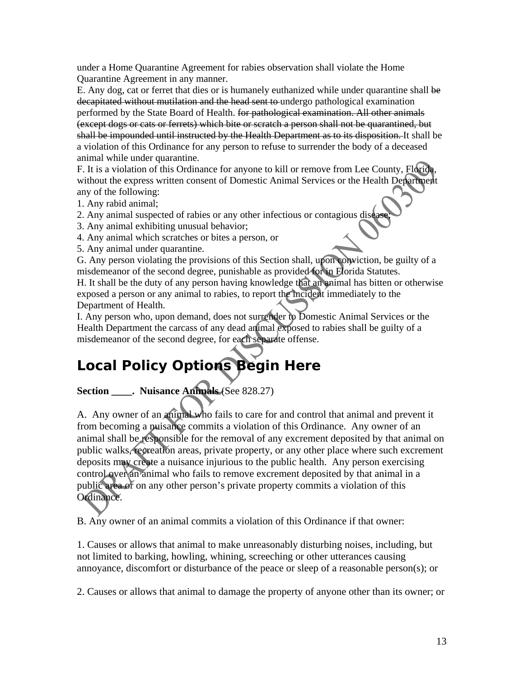under a Home Quarantine Agreement for rabies observation shall violate the Home Quarantine Agreement in any manner.

E. Any dog, cat or ferret that dies or is humanely euthanized while under quarantine shall be decapitated without mutilation and the head sent to undergo pathological examination performed by the State Board of Health. for pathological examination. All other animals (except dogs or cats or ferrets) which bite or scratch a person shall not be quarantined, but shall be impounded until instructed by the Health Department as to its disposition. It shall be a violation of this Ordinance for any person to refuse to surrender the body of a deceased animal while under quarantine.

F. It is a violation of this Ordinance for anyone to kill or remove from Lee County, Florida, without the express written consent of Domestic Animal Services or the Health Department any of the following:

1. Any rabid animal;

- 2. Any animal suspected of rabies or any other infectious or contagious disease.
- 3. Any animal exhibiting unusual behavior;
- 4. Any animal which scratches or bites a person, or
- 5. Any animal under quarantine.

G. Any person violating the provisions of this Section shall, upon conviction, be guilty of a misdemeanor of the second degree, punishable as provided for in Florida Statutes.

H. It shall be the duty of any person having knowledge that an animal has bitten or otherwise exposed a person or any animal to rabies, to report the incident immediately to the Department of Health.

I. Any person who, upon demand, does not surrender to Domestic Animal Services or the Health Department the carcass of any dead animal exposed to rabies shall be guilty of a misdemeanor of the second degree, for each separate offense.

# **Local Policy Options Begin Here**

## **Section \_\_\_\_. Nuisance Animals** (See 828.27)

A. Any owner of an animal who fails to care for and control that animal and prevent it from becoming a nuisance commits a violation of this Ordinance. Any owner of an animal shall be responsible for the removal of any excrement deposited by that animal on public walks, recreation areas, private property, or any other place where such excrement deposits may create a nuisance injurious to the public health. Any person exercising control over an animal who fails to remove excrement deposited by that animal in a public area or on any other person's private property commits a violation of this Ordinance.

B. Any owner of an animal commits a violation of this Ordinance if that owner:

1. Causes or allows that animal to make unreasonably disturbing noises, including, but not limited to barking, howling, whining, screeching or other utterances causing annoyance, discomfort or disturbance of the peace or sleep of a reasonable person(s); or

2. Causes or allows that animal to damage the property of anyone other than its owner; or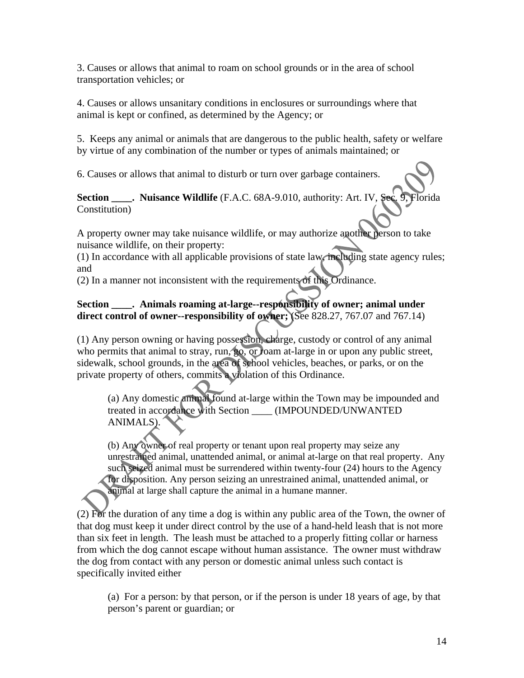3. Causes or allows that animal to roam on school grounds or in the area of school transportation vehicles; or

4. Causes or allows unsanitary conditions in enclosures or surroundings where that animal is kept or confined, as determined by the Agency; or

5. Keeps any animal or animals that are dangerous to the public health, safety or welfare by virtue of any combination of the number or types of animals maintained; or

6. Causes or allows that animal to disturb or turn over garbage containers.

**Section \_\_\_\_. Nuisance Wildlife** (F.A.C. 68A-9.010, authority: Art. IV, Sec. 9, Florida Constitution)

A property owner may take nuisance wildlife, or may authorize another person to take nuisance wildlife, on their property:

(1) In accordance with all applicable provisions of state law, including state agency rules; and

(2) In a manner not inconsistent with the requirements of this Ordinance.

## Section . Animals roaming at-large--responsibility of owner; animal under **direct control of owner--responsibility of owner;** (See 828.27, 767.07 and 767.14)

(1) Any person owning or having possession, charge, custody or control of any animal who permits that animal to stray, run, go, or roam at-large in or upon any public street, sidewalk, school grounds, in the area of school vehicles, beaches, or parks, or on the private property of others, commits a violation of this Ordinance.

(a) Any domestic animal found at-large within the Town may be impounded and treated in accordance with Section \_\_\_\_ (IMPOUNDED/UNWANTED ANIMALS).

(b) Any owner of real property or tenant upon real property may seize any unrestrained animal, unattended animal, or animal at-large on that real property. Any such seized animal must be surrendered within twenty-four (24) hours to the Agency for disposition. Any person seizing an unrestrained animal, unattended animal, or animal at large shall capture the animal in a humane manner.

(2) For the duration of any time a dog is within any public area of the Town, the owner of that dog must keep it under direct control by the use of a hand-held leash that is not more than six feet in length. The leash must be attached to a properly fitting collar or harness from which the dog cannot escape without human assistance. The owner must withdraw the dog from contact with any person or domestic animal unless such contact is specifically invited either

(a) For a person: by that person, or if the person is under 18 years of age, by that person's parent or guardian; or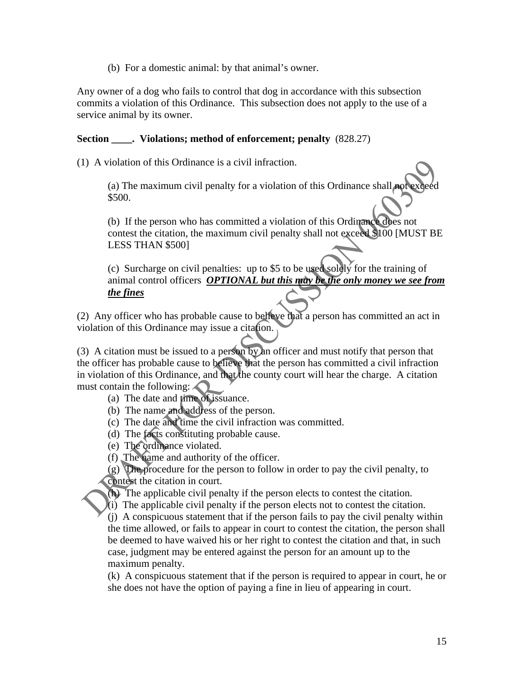(b) For a domestic animal: by that animal's owner.

Any owner of a dog who fails to control that dog in accordance with this subsection commits a violation of this Ordinance. This subsection does not apply to the use of a service animal by its owner.

#### **Section** . Violations; method of enforcement; penalty  $(828.27)$

(1) A violation of this Ordinance is a civil infraction.

(a) The maximum civil penalty for a violation of this Ordinance shall not \$500.

(b) If the person who has committed a violation of this Ordinance does not contest the citation, the maximum civil penalty shall not exceed \$100 [MUST BE LESS THAN \$500]

(c) Surcharge on civil penalties: up to \$5 to be used solely for the training of animal control officers *OPTIONAL but this may be the only money we see from the fines*

(2) Any officer who has probable cause to believe that a person has committed an act in violation of this Ordinance may issue a citation.

(3) A citation must be issued to a person by an officer and must notify that person that the officer has probable cause to believe that the person has committed a civil infraction in violation of this Ordinance, and that the county court will hear the charge. A citation must contain the following:  $\bigcap$ 

(a) The date and time of issuance.

- (b) The name and address of the person.
- (c) The date and time the civil infraction was committed.
- (d) The facts constituting probable cause.
- (e) The ordinance violated.
- (f) The name and authority of the officer.

(g) The procedure for the person to follow in order to pay the civil penalty, to contest the citation in court.

(h) The applicable civil penalty if the person elects to contest the citation.

(i) The applicable civil penalty if the person elects not to contest the citation.

(j) A conspicuous statement that if the person fails to pay the civil penalty within the time allowed, or fails to appear in court to contest the citation, the person shall be deemed to have waived his or her right to contest the citation and that, in such case, judgment may be entered against the person for an amount up to the maximum penalty.

(k) A conspicuous statement that if the person is required to appear in court, he or she does not have the option of paying a fine in lieu of appearing in court.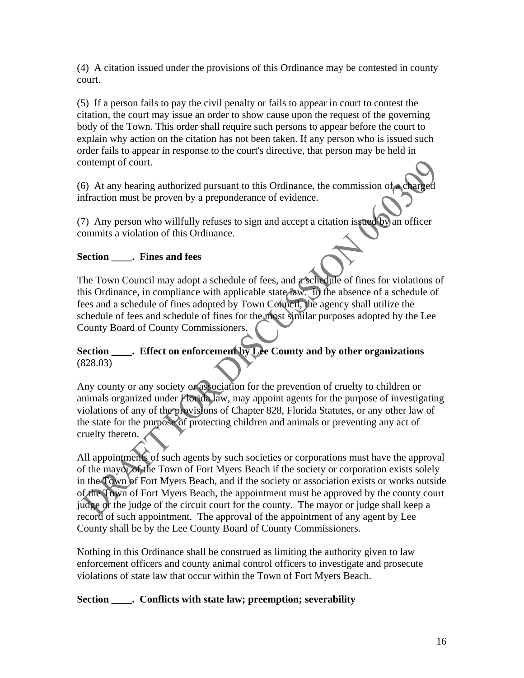(4) A citation issued under the provisions of this Ordinance may be contested in county court.

(5) If a person fails to pay the civil penalty or fails to appear in court to contest the citation, the court may issue an order to show cause upon the request of the governing body of the Town. This order shall require such persons to appear before the court to explain why action on the citation has not been taken. If any person who is issued such order fails to appear in response to the court's directive, that person may be held in contempt of court.

(6) At any hearing authorized pursuant to this Ordinance, the commission of a charged infraction must be proven by a preponderance of evidence.

(7) Any person who willfully refuses to sign and accept a citation issued by an officer commits a violation of this Ordinance.

### **Section \_\_\_\_. Fines and fees**

The Town Council may adopt a schedule of fees, and a schedule of fines for violations of this Ordinance, in compliance with applicable state law. In the absence of a schedule of fees and a schedule of fines adopted by Town Council, the agency shall utilize the schedule of fees and schedule of fines for the most similar purposes adopted by the Lee County Board of County Commissioners.

# **Section \_\_\_\_. Effect on enforcement by Lee County and by other organizations**  (828.03)

Any county or any society or association for the prevention of cruelty to children or animals organized under Florida law, may appoint agents for the purpose of investigating violations of any of the provisions of Chapter 828, Florida Statutes, or any other law of the state for the purpose of protecting children and animals or preventing any act of cruelty thereto.

All appointments of such agents by such societies or corporations must have the approval of the mayor of the Town of Fort Myers Beach if the society or corporation exists solely in the Town of Fort Myers Beach, and if the society or association exists or works outside of the Town of Fort Myers Beach, the appointment must be approved by the county court judge or the judge of the circuit court for the county. The mayor or judge shall keep a record of such appointment. The approval of the appointment of any agent by Lee County shall be by the Lee County Board of County Commissioners.

Nothing in this Ordinance shall be construed as limiting the authority given to law enforcement officers and county animal control officers to investigate and prosecute violations of state law that occur within the Town of Fort Myers Beach.

#### **Section \_\_\_\_. Conflicts with state law; preemption; severability**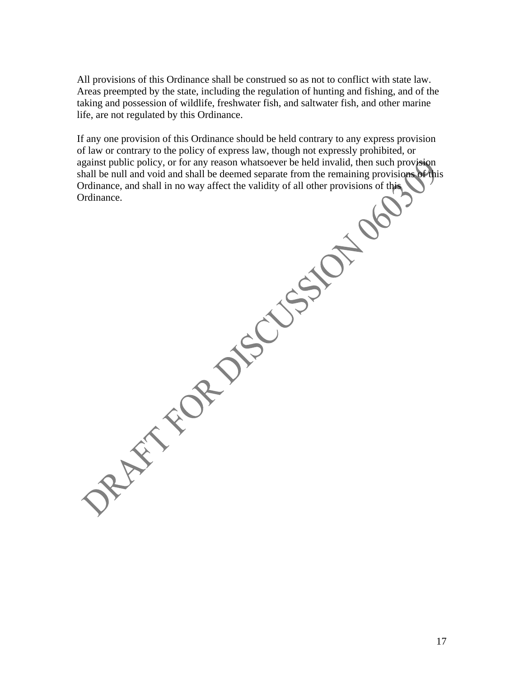All provisions of this Ordinance shall be construed so as not to conflict with state law. Areas preempted by the state, including the regulation of hunting and fishing, and of the taking and possession of wildlife, freshwater fish, and saltwater fish, and other marine life, are not regulated by this Ordinance.

If any one provision of this Ordinance should be held contrary to any express provision of law or contrary to the policy of express law, though not expressly prohibited, or against public policy, or for any reason whatsoever be held invalid, then such provision shall be null and void and shall be deemed separate from the remaining provisions of this Ordinance, and shall in no way affect the validity of all other provisions of this Ordinance.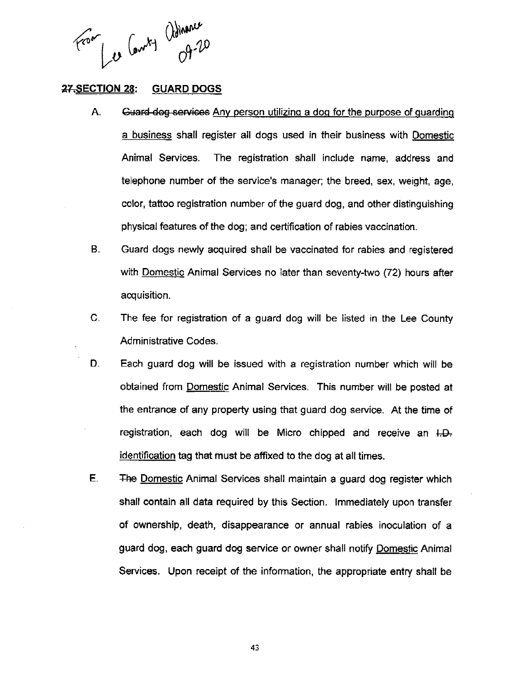From Les Comt démance

#### **27.SECTION 28: GUARD DOGS**

- A. Guard-dog services Any person utilizing a dog for the purpose of guarding a business shall register all dogs used in their business with Domestic Animal Services. The registration shall include name, address and telephone number of the service's manager; the breed, sex, weight, age, color, tattoo registration number of the guard dog, and other distinguishing physical features of the dog; and certification of rabies vaccination.
- $B<sub>1</sub>$ Guard dogs newly acquired shall be vaccinated for rabies and registered with Domestic Animal Services no later than seventy-two (72) hours after acquisition.
- $\mathbf{C}$ . The fee for registration of a guard dog will be listed in the Lee County Administrative Codes.
- D. Each guard dog will be issued with a registration number which will be obtained from Domestic Animal Services. This number will be posted at the entrance of any property using that guard dog service. At the time of registration, each dog will be Micro chipped and receive an I.D. identification tag that must be affixed to the dog at all times.
- E. The Domestic Animal Services shall maintain a guard dog register which shall contain all data required by this Section. Immediately upon transfer of ownership, death, disappearance or annual rabies inoculation of a guard dog, each guard dog service or owner shall notify Domestic Animal Services. Upon receipt of the information, the appropriate entry shall be

43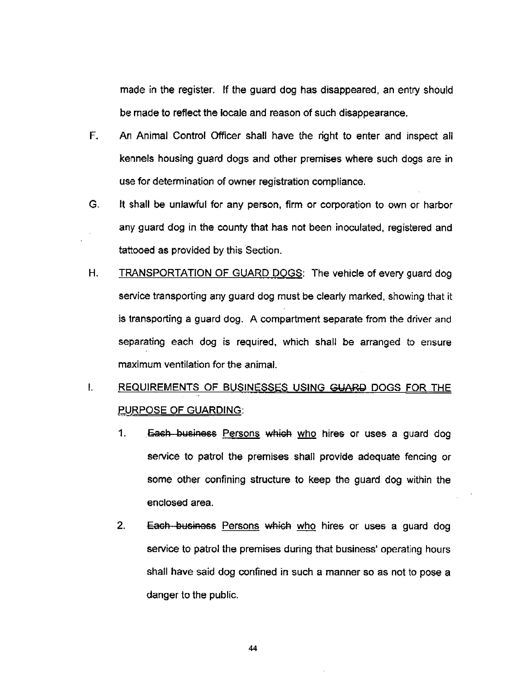made in the register. If the guard dog has disappeared, an entry should be made to reflect the locale and reason of such disappearance.

- $F_{\perp}$ An Animal Control Officer shall have the right to enter and inspect all kennels housing guard dogs and other premises where such dogs are in use for determination of owner registration compliance.
- G. It shall be unlawful for any person, firm or corporation to own or harbor any guard dog in the county that has not been inoculated, registered and tattooed as provided by this Section.
- $H_{\cdot}$ TRANSPORTATION OF GUARD DOGS: The vehicle of every guard dog service transporting any guard dog must be clearly marked, showing that it is transporting a quard dog. A compartment separate from the driver and separating each dog is required, which shall be arranged to ensure maximum ventilation for the animal.
- $\mathbf{I}$ . REQUIREMENTS OF BUSINESSES USING GUARD DOGS FOR THE PURPOSE OF GUARDING:
	- $\mathbf{1}$ . Each business Persons which who hires or uses a guard dog service to patrol the premises shall provide adequate fencing or some other confining structure to keep the guard dog within the enclosed area.
	- $2.$ Each business Persons which who hires or uses a guard dog service to patrol the premises during that business' operating hours shall have said dog confined in such a manner so as not to pose a danger to the public.

44